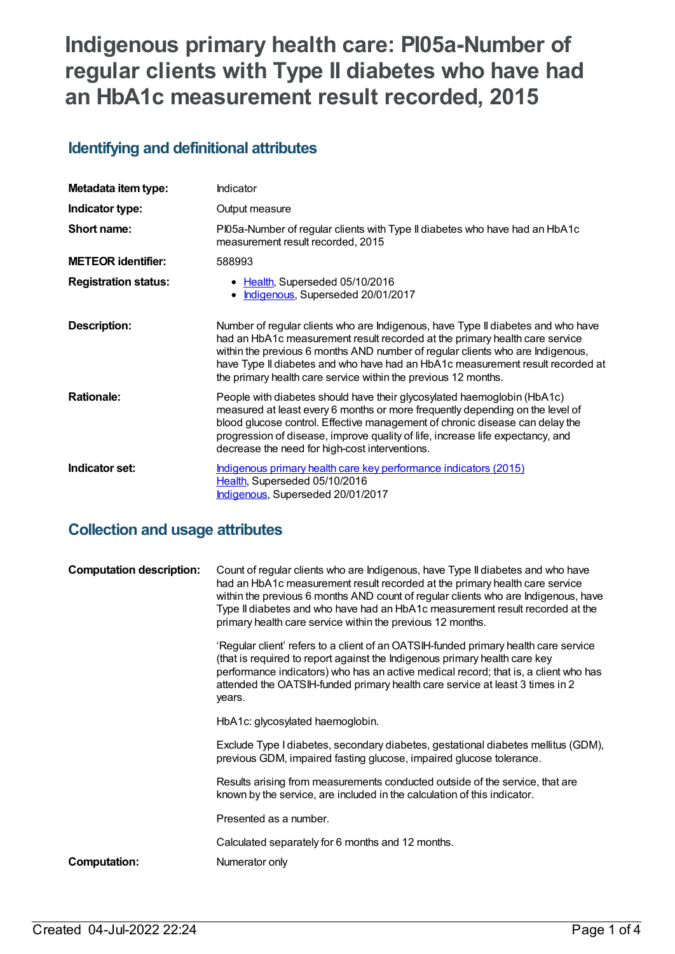# **Indigenous primary health care: PI05a-Number of regular clients with Type II diabetes who have had an HbA1c measurement result recorded, 2015**

### **Identifying and definitional attributes**

| Metadata item type:         | Indicator                                                                                                                                                                                                                                                                                                                                                                                             |
|-----------------------------|-------------------------------------------------------------------------------------------------------------------------------------------------------------------------------------------------------------------------------------------------------------------------------------------------------------------------------------------------------------------------------------------------------|
| Indicator type:             | Output measure                                                                                                                                                                                                                                                                                                                                                                                        |
| Short name:                 | PI05a-Number of regular clients with Type II diabetes who have had an HbA1c<br>measurement result recorded, 2015                                                                                                                                                                                                                                                                                      |
| <b>METEOR</b> identifier:   | 588993                                                                                                                                                                                                                                                                                                                                                                                                |
| <b>Registration status:</b> | • Health, Superseded 05/10/2016<br>Indigenous, Superseded 20/01/2017                                                                                                                                                                                                                                                                                                                                  |
| <b>Description:</b>         | Number of regular clients who are Indigenous, have Type II diabetes and who have<br>had an HbA1c measurement result recorded at the primary health care service<br>within the previous 6 months AND number of regular clients who are Indigenous,<br>have Type II diabetes and who have had an HbA1c measurement result recorded at<br>the primary health care service within the previous 12 months. |
| <b>Rationale:</b>           | People with diabetes should have their glycosylated haemoglobin (HbA1c)<br>measured at least every 6 months or more frequently depending on the level of<br>blood glucose control. Effective management of chronic disease can delay the<br>progression of disease, improve quality of life, increase life expectancy, and<br>decrease the need for high-cost interventions.                          |
| Indicator set:              | Indigenous primary health care key performance indicators (2015)<br>Health, Superseded 05/10/2016<br>Indigenous, Superseded 20/01/2017                                                                                                                                                                                                                                                                |

### **Collection and usage attributes**

| <b>Computation description:</b> | Count of regular clients who are Indigenous, have Type II diabetes and who have<br>had an HbA1c measurement result recorded at the primary health care service<br>within the previous 6 months AND count of regular clients who are Indigenous, have<br>Type II diabetes and who have had an HbA1c measurement result recorded at the<br>primary health care service within the previous 12 months. |
|---------------------------------|-----------------------------------------------------------------------------------------------------------------------------------------------------------------------------------------------------------------------------------------------------------------------------------------------------------------------------------------------------------------------------------------------------|
|                                 | 'Regular client' refers to a client of an OATSIH-funded primary health care service<br>(that is required to report against the Indigenous primary health care key<br>performance indicators) who has an active medical record; that is, a client who has<br>attended the OATSIH-funded primary health care service at least 3 times in 2<br>years.                                                  |
|                                 | HbA1c: glycosylated haemoglobin.                                                                                                                                                                                                                                                                                                                                                                    |
|                                 | Exclude Type I diabetes, secondary diabetes, gestational diabetes mellitus (GDM),<br>previous GDM, impaired fasting glucose, impaired glucose tolerance.                                                                                                                                                                                                                                            |
|                                 | Results arising from measurements conducted outside of the service, that are<br>known by the service, are included in the calculation of this indicator.                                                                                                                                                                                                                                            |
|                                 | Presented as a number.                                                                                                                                                                                                                                                                                                                                                                              |
|                                 | Calculated separately for 6 months and 12 months.                                                                                                                                                                                                                                                                                                                                                   |
| Computation:                    | Numerator only                                                                                                                                                                                                                                                                                                                                                                                      |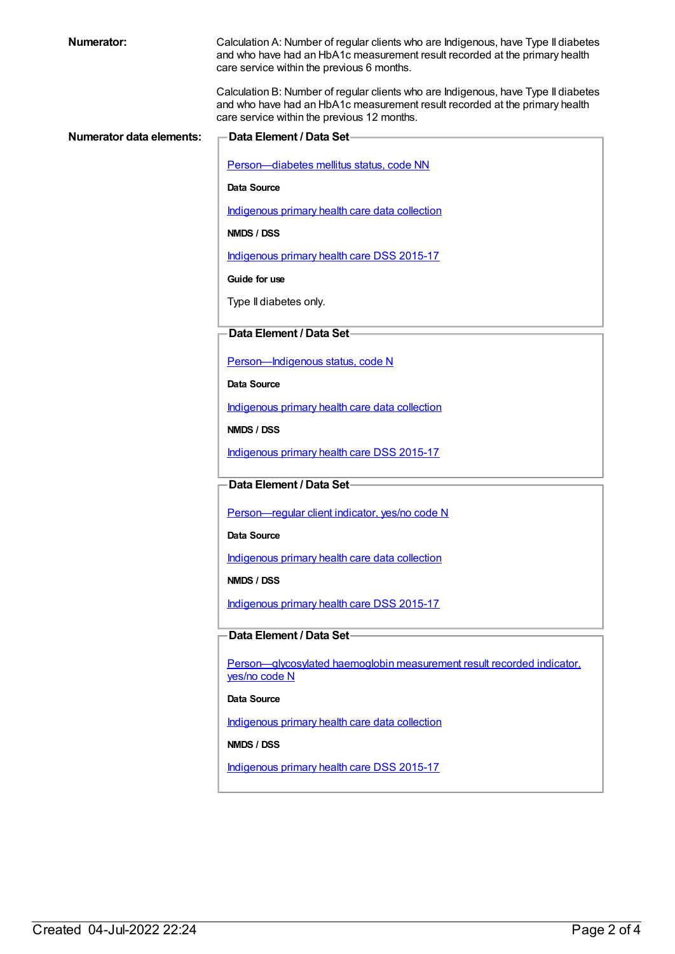| <b>Numerator:</b>               | Calculation A: Number of regular clients who are Indigenous, have Type II diabetes<br>and who have had an HbA1c measurement result recorded at the primary health<br>care service within the previous 6 months.  |
|---------------------------------|------------------------------------------------------------------------------------------------------------------------------------------------------------------------------------------------------------------|
|                                 | Calculation B: Number of regular clients who are Indigenous, have Type II diabetes<br>and who have had an HbA1c measurement result recorded at the primary health<br>care service within the previous 12 months. |
| <b>Numerator data elements:</b> | Data Element / Data Set-                                                                                                                                                                                         |
|                                 |                                                                                                                                                                                                                  |
|                                 | Person-diabetes mellitus status, code NN                                                                                                                                                                         |
|                                 | Data Source                                                                                                                                                                                                      |
|                                 | Indigenous primary health care data collection                                                                                                                                                                   |
|                                 | NMDS / DSS                                                                                                                                                                                                       |
|                                 | Indigenous primary health care DSS 2015-17                                                                                                                                                                       |
|                                 | Guide for use                                                                                                                                                                                                    |
|                                 | Type II diabetes only.                                                                                                                                                                                           |
|                                 |                                                                                                                                                                                                                  |
|                                 | Data Element / Data Set-                                                                                                                                                                                         |
|                                 | Person-Indigenous status, code N                                                                                                                                                                                 |
|                                 | Data Source                                                                                                                                                                                                      |
|                                 | Indigenous primary health care data collection                                                                                                                                                                   |
|                                 | NMDS / DSS                                                                                                                                                                                                       |
|                                 | Indigenous primary health care DSS 2015-17                                                                                                                                                                       |
|                                 | Data Element / Data Set                                                                                                                                                                                          |
|                                 |                                                                                                                                                                                                                  |
|                                 | Person-regular client indicator, yes/no code N                                                                                                                                                                   |
|                                 | Data Source                                                                                                                                                                                                      |
|                                 | Indigenous primary health care data collection                                                                                                                                                                   |
|                                 | NMDS / DSS                                                                                                                                                                                                       |
|                                 | Indigenous primary health care DSS 2015-17                                                                                                                                                                       |
|                                 | Data Element / Data Set-                                                                                                                                                                                         |
|                                 |                                                                                                                                                                                                                  |
|                                 | Person-glycosylated haemoglobin measurement result recorded indicator.<br>yes/no code N                                                                                                                          |
|                                 | Data Source                                                                                                                                                                                                      |
|                                 | Indigenous primary health care data collection                                                                                                                                                                   |
|                                 | NMDS / DSS                                                                                                                                                                                                       |
|                                 | Indigenous primary health care DSS 2015-17                                                                                                                                                                       |
|                                 |                                                                                                                                                                                                                  |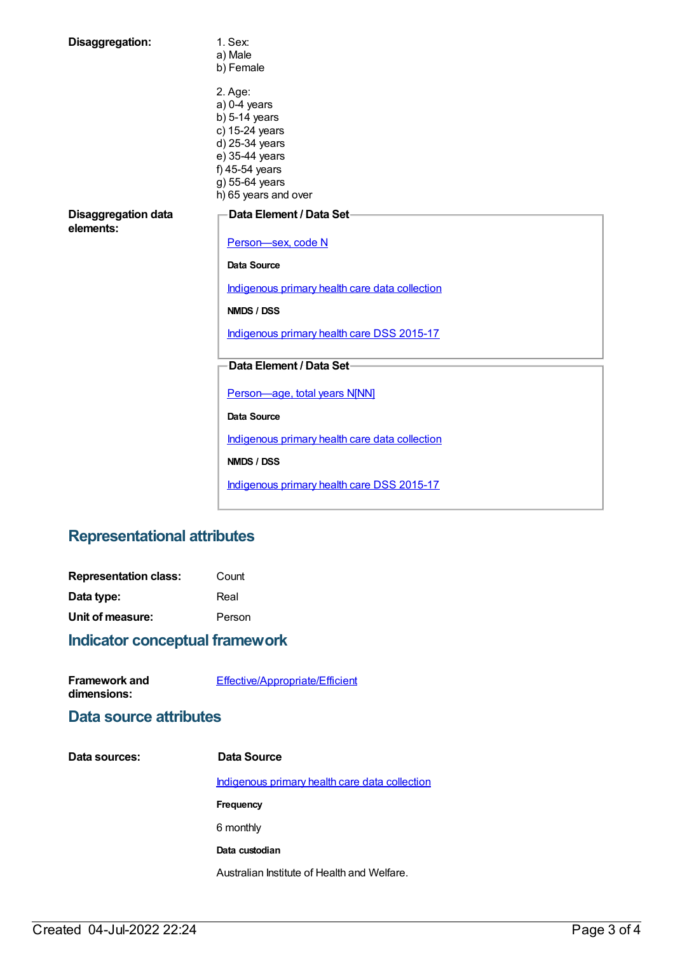| Disaggregation:                         | 1. Sex:<br>a) Male<br>b) Female                                                                                                                                |  |
|-----------------------------------------|----------------------------------------------------------------------------------------------------------------------------------------------------------------|--|
|                                         | 2. Age:<br>$a) 0-4$ years<br>$b)$ 5-14 years<br>c) 15-24 years<br>d) 25-34 years<br>e) 35-44 years<br>f) 45-54 years<br>g) 55-64 years<br>h) 65 years and over |  |
| <b>Disaggregation data</b><br>elements: | Data Element / Data Set-<br>Person-sex, code N                                                                                                                 |  |
|                                         | <b>Data Source</b>                                                                                                                                             |  |
|                                         | Indigenous primary health care data collection                                                                                                                 |  |
|                                         | NMDS / DSS                                                                                                                                                     |  |
|                                         | Indigenous primary health care DSS 2015-17                                                                                                                     |  |
|                                         | Data Element / Data Set-                                                                                                                                       |  |
|                                         | Person-age, total years N[NN]                                                                                                                                  |  |
|                                         | <b>Data Source</b>                                                                                                                                             |  |
|                                         | Indigenous primary health care data collection                                                                                                                 |  |
|                                         | NMDS / DSS                                                                                                                                                     |  |
|                                         | Indigenous primary health care DSS 2015-17                                                                                                                     |  |

## **Representational attributes**

| <b>Representation class:</b> | Count  |
|------------------------------|--------|
| Data type:                   | Real   |
| Unit of measure:             | Person |

## **Indicator conceptual framework**

| <b>Framework and</b> | Effective/Appropriate/Efficient |  |
|----------------------|---------------------------------|--|
| dimensions:          |                                 |  |

### **Data source attributes**

| Data sources: | Data Source                                    |
|---------------|------------------------------------------------|
|               | Indigenous primary health care data collection |
|               | <b>Frequency</b>                               |
|               | 6 monthly                                      |
|               | Data custodian                                 |
|               | Australian Institute of Health and Welfare.    |